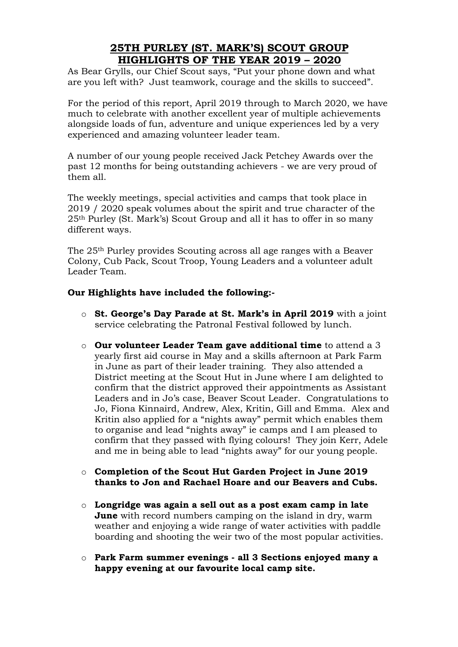# **25TH PURLEY (ST. MARK'S) SCOUT GROUP HIGHLIGHTS OF THE YEAR 2019 – 2020**

As Bear Grylls, our Chief Scout says, "Put your phone down and what are you left with? Just teamwork, courage and the skills to succeed".

For the period of this report, April 2019 through to March 2020, we have much to celebrate with another excellent year of multiple achievements alongside loads of fun, adventure and unique experiences led by a very experienced and amazing volunteer leader team.

A number of our young people received Jack Petchey Awards over the past 12 months for being outstanding achievers - we are very proud of them all.

The weekly meetings, special activities and camps that took place in 2019 / 2020 speak volumes about the spirit and true character of the 25th Purley (St. Mark's) Scout Group and all it has to offer in so many different ways.

The 25th Purley provides Scouting across all age ranges with a Beaver Colony, Cub Pack, Scout Troop, Young Leaders and a volunteer adult Leader Team.

## **Our Highlights have included the following:-**

- o **St. George's Day Parade at St. Mark's in April 2019** with a joint service celebrating the Patronal Festival followed by lunch.
- o **Our volunteer Leader Team gave additional time** to attend a 3 yearly first aid course in May and a skills afternoon at Park Farm in June as part of their leader training. They also attended a District meeting at the Scout Hut in June where I am delighted to confirm that the district approved their appointments as Assistant Leaders and in Jo's case, Beaver Scout Leader. Congratulations to Jo, Fiona Kinnaird, Andrew, Alex, Kritin, Gill and Emma. Alex and Kritin also applied for a "nights away" permit which enables them to organise and lead "nights away" ie camps and I am pleased to confirm that they passed with flying colours! They join Kerr, Adele and me in being able to lead "nights away" for our young people.
- o **Completion of the Scout Hut Garden Project in June 2019 thanks to Jon and Rachael Hoare and our Beavers and Cubs.**
- o **Longridge was again a sell out as a post exam camp in late June** with record numbers camping on the island in dry, warm weather and enjoying a wide range of water activities with paddle boarding and shooting the weir two of the most popular activities.
- o **Park Farm summer evenings - all 3 Sections enjoyed many a happy evening at our favourite local camp site.**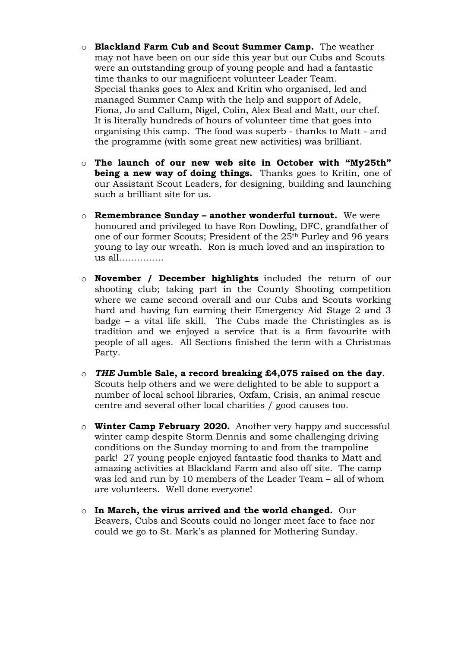- o **Blackland Farm Cub and Scout Summer Camp.** The weather may not have been on our side this year but our Cubs and Scouts were an outstanding group of young people and had a fantastic time thanks to our magnificent volunteer Leader Team. Special thanks goes to Alex and Kritin who organised, led and managed Summer Camp with the help and support of Adele, Fiona, Jo and Callum, Nigel, Colin, Alex Beal and Matt, our chef. It is literally hundreds of hours of volunteer time that goes into organising this camp. The food was superb - thanks to Matt - and the programme (with some great new activities) was brilliant.
- o **The launch of our new web site in October with "My25th" being a new way of doing things.** Thanks goes to Kritin, one of our Assistant Scout Leaders, for designing, building and launching such a brilliant site for us.
- o **Remembrance Sunday – another wonderful turnout.** We were honoured and privileged to have Ron Dowling, DFC, grandfather of one of our former Scouts; President of the 25th Purley and 96 years young to lay our wreath. Ron is much loved and an inspiration to us all……………
- o **November / December highlights** included the return of our shooting club; taking part in the County Shooting competition where we came second overall and our Cubs and Scouts working hard and having fun earning their Emergency Aid Stage 2 and 3 badge – a vital life skill. The Cubs made the Christingles as is tradition and we enjoyed a service that is a firm favourite with people of all ages. All Sections finished the term with a Christmas Party.
- o *THE* **Jumble Sale, a record breaking £4,075 raised on the day**. Scouts help others and we were delighted to be able to support a number of local school libraries, Oxfam, Crisis, an animal rescue centre and several other local charities / good causes too.
- o **Winter Camp February 2020.** Another very happy and successful winter camp despite Storm Dennis and some challenging driving conditions on the Sunday morning to and from the trampoline park! 27 young people enjoyed fantastic food thanks to Matt and amazing activities at Blackland Farm and also off site. The camp was led and run by 10 members of the Leader Team – all of whom are volunteers. Well done everyone!
- o **In March, the virus arrived and the world changed.** Our Beavers, Cubs and Scouts could no longer meet face to face nor could we go to St. Mark's as planned for Mothering Sunday.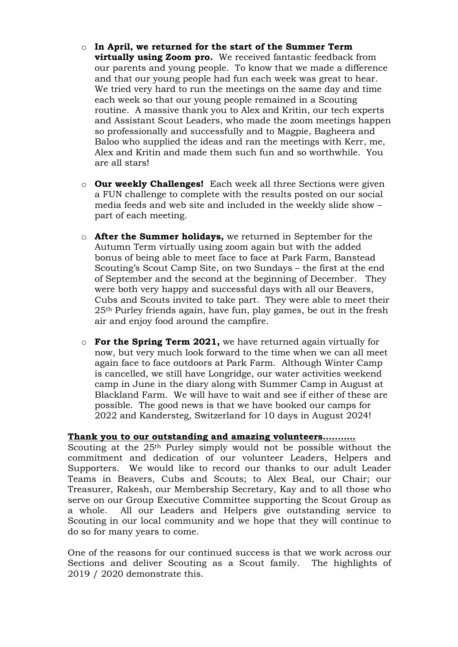- o **In April, we returned for the start of the Summer Term virtually using Zoom pro.** We received fantastic feedback from our parents and young people. To know that we made a difference and that our young people had fun each week was great to hear. We tried very hard to run the meetings on the same day and time each week so that our young people remained in a Scouting routine. A massive thank you to Alex and Kritin, our tech experts and Assistant Scout Leaders, who made the zoom meetings happen so professionally and successfully and to Magpie, Bagheera and Baloo who supplied the ideas and ran the meetings with Kerr, me, Alex and Kritin and made them such fun and so worthwhile. You are all stars!
- o **Our weekly Challenges!** Each week all three Sections were given a FUN challenge to complete with the results posted on our social media feeds and web site and included in the weekly slide show – part of each meeting.
- o **After the Summer holidays,** we returned in September for the Autumn Term virtually using zoom again but with the added bonus of being able to meet face to face at Park Farm, Banstead Scouting's Scout Camp Site, on two Sundays – the first at the end of September and the second at the beginning of December. They were both very happy and successful days with all our Beavers, Cubs and Scouts invited to take part. They were able to meet their 25th Purley friends again, have fun, play games, be out in the fresh air and enjoy food around the campfire.
- o **For the Spring Term 2021,** we have returned again virtually for now, but very much look forward to the time when we can all meet again face to face outdoors at Park Farm. Although Winter Camp is cancelled, we still have Longridge, our water activities weekend camp in June in the diary along with Summer Camp in August at Blackland Farm. We will have to wait and see if either of these are possible. The good news is that we have booked our camps for 2022 and Kandersteg, Switzerland for 10 days in August 2024!

#### **Thank you to our outstanding and amazing volunteers..………**

Scouting at the 25th Purley simply would not be possible without the commitment and dedication of our volunteer Leaders, Helpers and Supporters. We would like to record our thanks to our adult Leader Teams in Beavers, Cubs and Scouts; to Alex Beal, our Chair; our Treasurer, Rakesh, our Membership Secretary, Kay and to all those who serve on our Group Executive Committee supporting the Scout Group as a whole. All our Leaders and Helpers give outstanding service to Scouting in our local community and we hope that they will continue to do so for many years to come.

One of the reasons for our continued success is that we work across our Sections and deliver Scouting as a Scout family. The highlights of 2019 / 2020 demonstrate this.